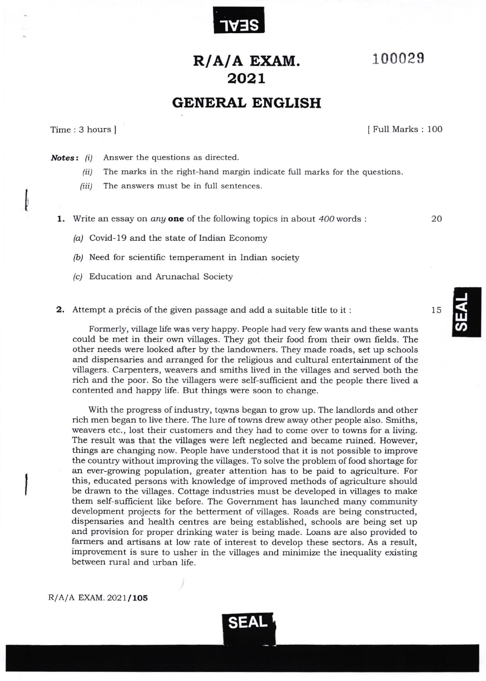

## 100029

## R/A/A EXAM. 2o2L

## GENERAL ENGLISH

Time: 3 hours ]

I Full Marks : lOO

**Notes:** (i) Answer the questions as directed.

- (ii) The marks in the right-hand margin indicate full marks for the questions.
- (iii) The answers must be in full sentences.

**1.** Write an essay on *any* one of the following topics in about  $400$  words :  $20$ 

- $(a)$  Covid-19 and the state of Indian Economy
- $(b)$  Need for scientific temperament in Indian society
- (c/ Education and Arunachal Society
- 2. Attempt a précis of the given passage and add a suitable title to it :

Formerly, village life was very happy. People had very few wants and these wants could be met in their own villages. They got their food from their own fields. The other needs were looked after by the landowners. They made roads, set up schools and dispensaries and arranged for the religious and cultural entertainment of the villagers. Carpenters, weavers and smiths lived in the villages and served both the rich and the poor. So the villagers were self-sufficient and the people there lived a contented and happy life. But things were soon to change.

With the progress of industry, towns began to grow up. The landlords and other rich men began to live there. The lure of towns drew away other people also. Smiths, weavers etc., lost their customers and they had to come over to towns for a living. The result was that the villages were left neglected and became ruined. However, things are changing now. People have understood that it is not possible to improve the country without improving the villages. To solve the problem of food shortage for an ever-growing population, greater attention has to be paid to agriculture. For this, educated persons with knowledge of improved methods of agriculture should be drawn to the villages. Cottage industries must be developed in villages to make them self-sufficient like before. The Government has launched many community development projects for the betterment of villages. Roads are being constructed, dispensaries and health centres are being established, schools are being set up and provision for proper drinking water is being made. Loans are also provided to farmers and artisans at low rate of interest to develop these sectors. As a result, improvement is sure to usher in the villages and minimize the inequality existing between rural and urban life.

 $R/A/A$  EXAM. 2021/105



15

J

ყ<br>თ